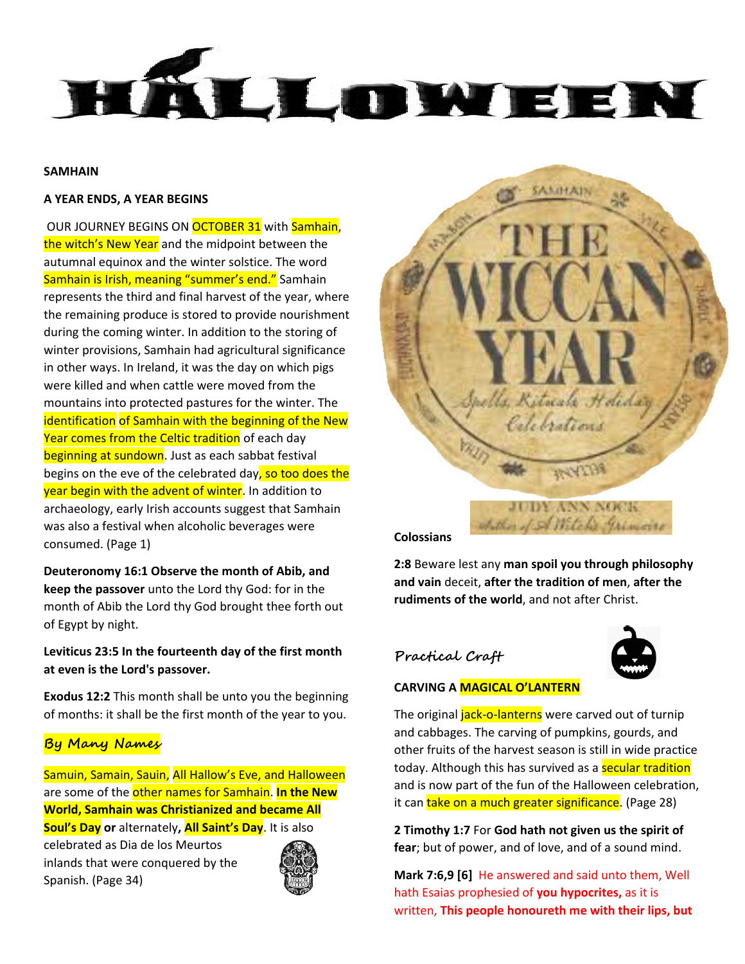

### **SAMHAIN**

#### **A YEAR ENDS, A YEAR BEGINS**

OUR JOURNEY BEGINS ON **OCTOBER 31** with **Samhain**, the witch's New Year and the midpoint between the autumnal equinox and the winter solstice. The word Samhain is Irish, meaning "summer's end." Samhain represents the third and final harvest of the year, where the remaining produce is stored to provide nourishment during the coming winter. In addition to the storing of winter provisions, Samhain had agricultural significance in other ways. In Ireland, it was the day on which pigs were killed and when cattle were moved from the mountains into protected pastures for the winter. The identification of Samhain with the beginning of the New Year comes from the Celtic tradition of each day beginning at sundown. Just as each sabbat festival begins on the eve of the celebrated day, so too does the year begin with the advent of winter. In addition to archaeology, early Irish accounts suggest that Samhain was also a festival when alcoholic beverages were consumed. (Page 1)

**Deuteronomy 16:1 Observe the month of Abib, and keep the passover** unto the Lord thy God: for in the month of Abib the Lord thy God brought thee forth out of Egypt by night.

**Leviticus 23:5 In the fourteenth day of the first month at even is the Lord's passover.**

**Exodus 12:2** This month shall be unto you the beginning of months: it shall be the first month of the year to you.

# **By Many Names**

Samuin, Samain, Sauin, All Hallow's Eve, and Halloween are some of the other names for Samhain. **In the New World, Samhain was Christianized and became All Soul's Day or** alternately**, All Saint's Day**. It is also

celebrated as Dia de los Meurtos inlands that were conquered by the Spanish. (Page 34)





**Colossians** 

**2:8** Beware lest any **man spoil you through philosophy and vain** deceit, **after the tradition of men**, **after the rudiments of the world**, and not after Christ.

# **Practical Craft**



### **CARVING A MAGICAL O'LANTERN**

The original *jack-o-lanterns* were carved out of turnip and cabbages. The carving of pumpkins, gourds, and other fruits of the harvest season is still in wide practice today. Although this has survived as a **secular tradition** and is now part of the fun of the Halloween celebration, it can take on a much greater significance. (Page 28)

**2 Timothy 1:7** For **God hath not given us the spirit of fear**; but of power, and of love, and of a sound mind.

**Mark 7:6,9 [6]** He answered and said unto them, Well hath Esaias prophesied of **you hypocrites,** as it is written, **This people honoureth me with their lips, but**